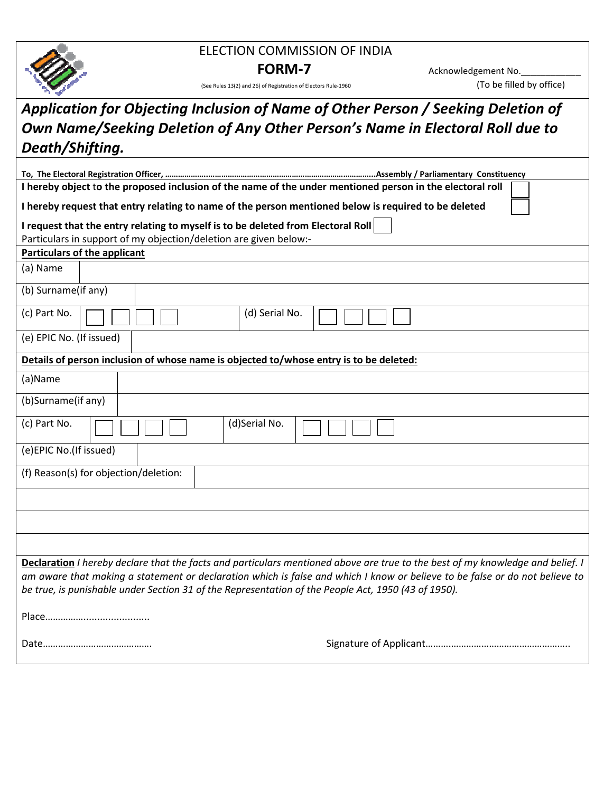

ELECTION COMMISSION OF INDIA

(See Rules 13( Rules 13(2) and 26) of Registration of Electors Rule-1960

FORM-7 Acknowledgement No. (To be filled by office)

## Application for Objecting Inclusion of Name of Other Person / Seeking Deletion of Own Name/Seeking Deletion of Any Other Person's Name in Electoral Roll due to Death/Shifting.

| I hereby object to the proposed inclusion of the name of the under mentioned person in the electoral roll                                                                                                                                                                                                                                                            |  |  |  |
|----------------------------------------------------------------------------------------------------------------------------------------------------------------------------------------------------------------------------------------------------------------------------------------------------------------------------------------------------------------------|--|--|--|
| I hereby request that entry relating to name of the person mentioned below is required to be deleted                                                                                                                                                                                                                                                                 |  |  |  |
| I request that the entry relating to myself is to be deleted from Electoral Roll                                                                                                                                                                                                                                                                                     |  |  |  |
| Particulars in support of my objection/deletion are given below:-                                                                                                                                                                                                                                                                                                    |  |  |  |
| <b>Particulars of the applicant</b>                                                                                                                                                                                                                                                                                                                                  |  |  |  |
| (a) Name                                                                                                                                                                                                                                                                                                                                                             |  |  |  |
| (b) Surname(if any)                                                                                                                                                                                                                                                                                                                                                  |  |  |  |
| (c) Part No.<br>(d) Serial No.                                                                                                                                                                                                                                                                                                                                       |  |  |  |
| (e) EPIC No. (If issued)                                                                                                                                                                                                                                                                                                                                             |  |  |  |
| Details of person inclusion of whose name is objected to/whose entry is to be deleted:                                                                                                                                                                                                                                                                               |  |  |  |
| (a)Name                                                                                                                                                                                                                                                                                                                                                              |  |  |  |
| (b)Surname(if any)                                                                                                                                                                                                                                                                                                                                                   |  |  |  |
| (c) Part No.<br>(d)Serial No.                                                                                                                                                                                                                                                                                                                                        |  |  |  |
| (e)EPIC No.(If issued)                                                                                                                                                                                                                                                                                                                                               |  |  |  |
| (f) Reason(s) for objection/deletion:                                                                                                                                                                                                                                                                                                                                |  |  |  |
|                                                                                                                                                                                                                                                                                                                                                                      |  |  |  |
|                                                                                                                                                                                                                                                                                                                                                                      |  |  |  |
|                                                                                                                                                                                                                                                                                                                                                                      |  |  |  |
| Declaration I hereby declare that the facts and particulars mentioned above are true to the best of my knowledge and belief. I<br>am aware that making a statement or declaration which is false and which I know or believe to be false or do not believe to<br>be true, is punishable under Section 31 of the Representation of the People Act, 1950 (43 of 1950). |  |  |  |
|                                                                                                                                                                                                                                                                                                                                                                      |  |  |  |
|                                                                                                                                                                                                                                                                                                                                                                      |  |  |  |